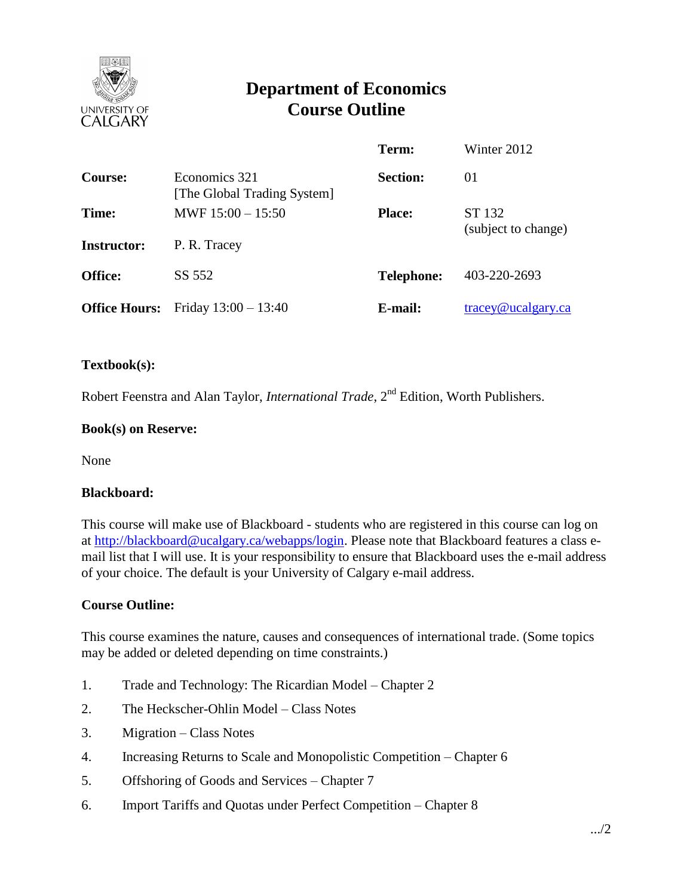

# **Department of Economics Course Outline**

|                      |                                              | Term:             | Winter 2012                      |
|----------------------|----------------------------------------------|-------------------|----------------------------------|
| <b>Course:</b>       | Economics 321<br>[The Global Trading System] | <b>Section:</b>   | 01                               |
| Time:                | MWF $15:00 - 15:50$                          | <b>Place:</b>     | ST 132                           |
| <b>Instructor:</b>   | P. R. Tracey                                 |                   | (subject to change)              |
| <b>Office:</b>       | SS 552                                       | <b>Telephone:</b> | 403-220-2693                     |
| <b>Office Hours:</b> | Friday $13:00 - 13:40$                       | E-mail:           | $trace\sqrt{\omega}$ ucalgary.ca |

### **Textbook(s):**

Robert Feenstra and Alan Taylor, *International Trade*, 2<sup>nd</sup> Edition, Worth Publishers.

#### **Book(s) on Reserve:**

None

#### **Blackboard:**

This course will make use of Blackboard - students who are registered in this course can log on at [http://blackboard@ucalgary.ca/webapps/login.](http://blackboard@ucalgary.ca/webapps/login) Please note that Blackboard features a class email list that I will use. It is your responsibility to ensure that Blackboard uses the e-mail address of your choice. The default is your University of Calgary e-mail address.

#### **Course Outline:**

This course examines the nature, causes and consequences of international trade. (Some topics may be added or deleted depending on time constraints.)

- 1. Trade and Technology: The Ricardian Model Chapter 2
- 2. The Heckscher-Ohlin Model Class Notes
- 3. Migration Class Notes
- 4. Increasing Returns to Scale and Monopolistic Competition Chapter 6
- 5. Offshoring of Goods and Services Chapter 7
- 6. Import Tariffs and Quotas under Perfect Competition Chapter 8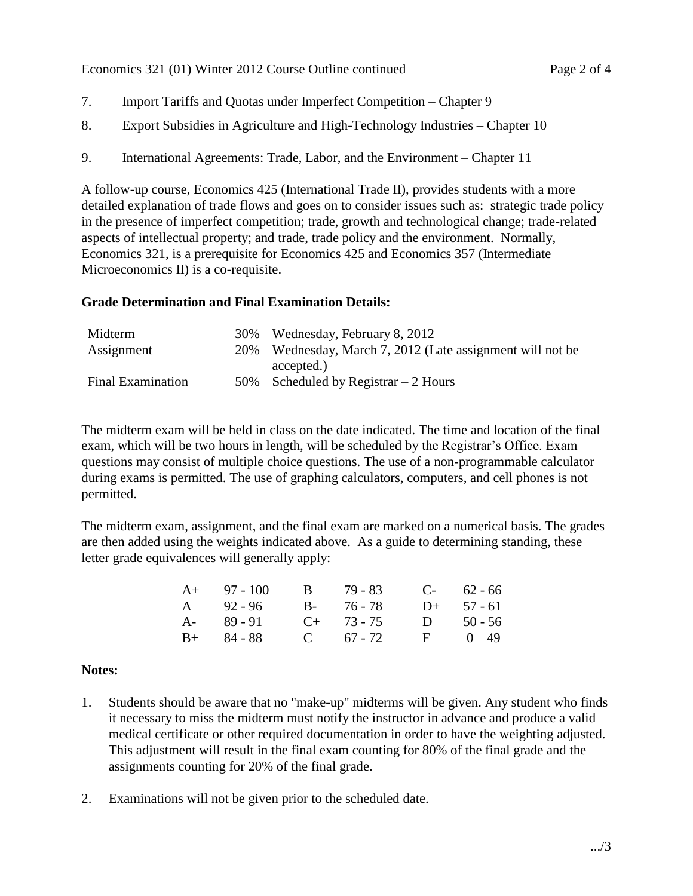- 7. Import Tariffs and Quotas under Imperfect Competition Chapter 9
- 8. Export Subsidies in Agriculture and High-Technology Industries Chapter 10
- 9. International Agreements: Trade, Labor, and the Environment Chapter 11

A follow-up course, Economics 425 (International Trade II), provides students with a more detailed explanation of trade flows and goes on to consider issues such as: strategic trade policy in the presence of imperfect competition; trade, growth and technological change; trade-related aspects of intellectual property; and trade, trade policy and the environment. Normally, Economics 321, is a prerequisite for Economics 425 and Economics 357 (Intermediate Microeconomics II) is a co-requisite.

## **Grade Determination and Final Examination Details:**

| Midterm                  | 30% Wednesday, February 8, 2012                           |
|--------------------------|-----------------------------------------------------------|
| Assignment               | 20% Wednesday, March 7, 2012 (Late assignment will not be |
|                          | accepted.)                                                |
| <b>Final Examination</b> | 50% Scheduled by Registrar $-2$ Hours                     |

The midterm exam will be held in class on the date indicated. The time and location of the final exam, which will be two hours in length, will be scheduled by the Registrar's Office. Exam questions may consist of multiple choice questions. The use of a non-programmable calculator during exams is permitted. The use of graphing calculators, computers, and cell phones is not permitted.

The midterm exam, assignment, and the final exam are marked on a numerical basis. The grades are then added using the weights indicated above. As a guide to determining standing, these letter grade equivalences will generally apply:

| $A+$ 97 - 100 | B 79-83         | $C-$ 62 - 66 |
|---------------|-----------------|--------------|
| A 92 - 96     | B- 76-78        | $D+ 57 - 61$ |
| A- 89 - 91    | $C_{+}$ 73 - 75 | D $50 - 56$  |
| $B+ 84 - 88$  | C $67 - 72$     | $F = 0 - 49$ |

## **Notes:**

- 1. Students should be aware that no "make-up" midterms will be given. Any student who finds it necessary to miss the midterm must notify the instructor in advance and produce a valid medical certificate or other required documentation in order to have the weighting adjusted. This adjustment will result in the final exam counting for 80% of the final grade and the assignments counting for 20% of the final grade.
- 2. Examinations will not be given prior to the scheduled date.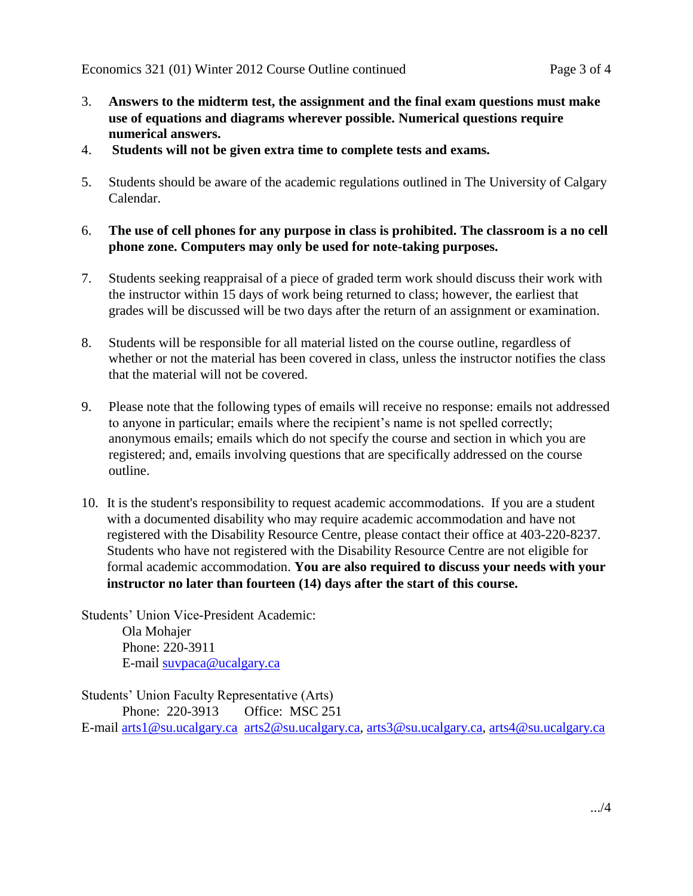- 3. **Answers to the midterm test, the assignment and the final exam questions must make use of equations and diagrams wherever possible. Numerical questions require numerical answers.**
- 4. **Students will not be given extra time to complete tests and exams.**
- 5. Students should be aware of the academic regulations outlined in The University of Calgary Calendar.
- 6. **The use of cell phones for any purpose in class is prohibited. The classroom is a no cell phone zone. Computers may only be used for note-taking purposes.**
- 7. Students seeking reappraisal of a piece of graded term work should discuss their work with the instructor within 15 days of work being returned to class; however, the earliest that grades will be discussed will be two days after the return of an assignment or examination.
- 8. Students will be responsible for all material listed on the course outline, regardless of whether or not the material has been covered in class, unless the instructor notifies the class that the material will not be covered.
- 9. Please note that the following types of emails will receive no response: emails not addressed to anyone in particular; emails where the recipient's name is not spelled correctly; anonymous emails; emails which do not specify the course and section in which you are registered; and, emails involving questions that are specifically addressed on the course outline.
- 10. It is the student's responsibility to request academic accommodations. If you are a student with a documented disability who may require academic accommodation and have not registered with the Disability Resource Centre, please contact their office at 403-220-8237. Students who have not registered with the Disability Resource Centre are not eligible for formal academic accommodation. **You are also required to discuss your needs with your instructor no later than fourteen (14) days after the start of this course.**

Students' Union Vice-President Academic: Ola Mohajer Phone: 220-3911 E-mail [suvpaca@ucalgary.ca](mailto:subpaca@ucalgary.ca)

Students' Union Faculty Representative (Arts) Phone: 220-3913 Office: MSC 251 E-mail [arts1@su.ucalgary.ca](mailto:arts1@su.ucalgary.ca) [arts2@su.ucalgary.ca,](mailto:arts2@su.ucalgary.ca) [arts3@su.ucalgary.ca,](mailto:arts3@su.ucalgary.ca) [arts4@su.ucalgary.ca](mailto:arts4@su.ucalgary.ca)